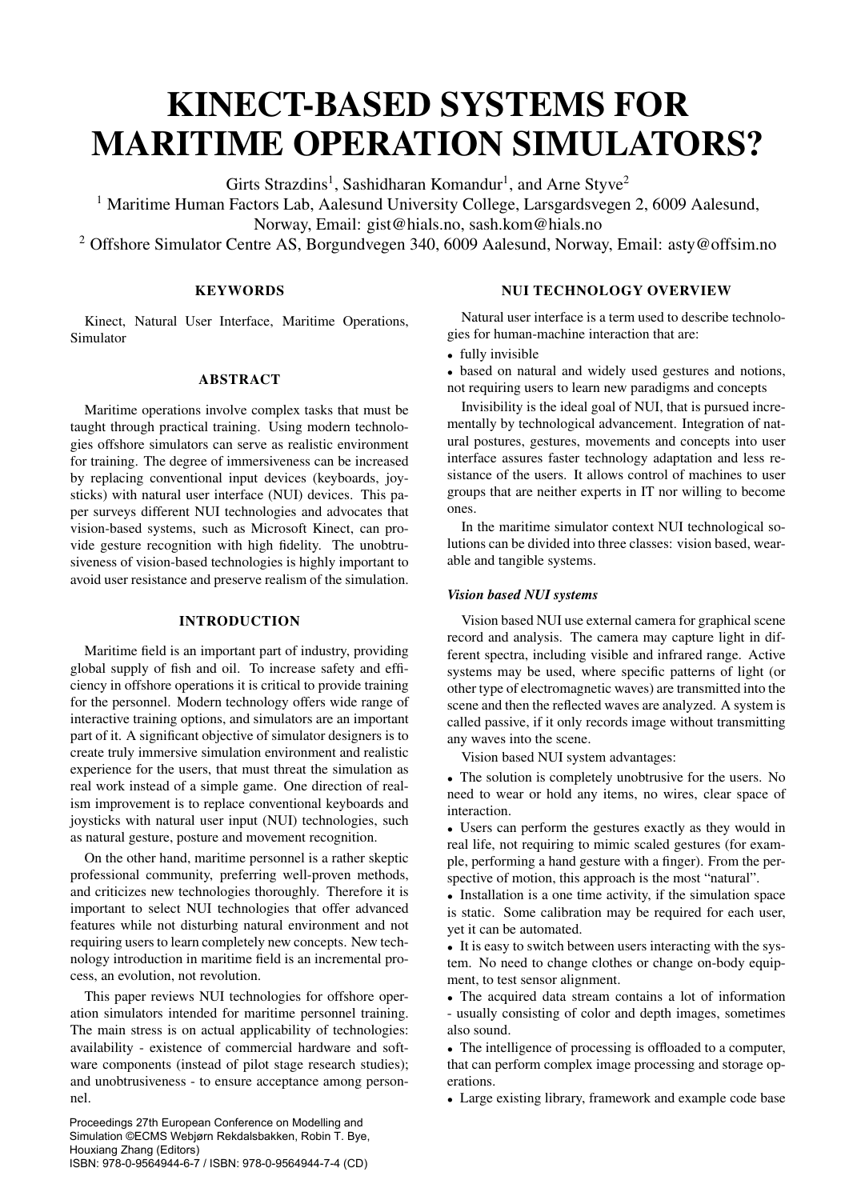# KINECT-BASED SYSTEMS FOR MARITIME OPERATION SIMULATORS?

Girts Strazdins<sup>1</sup>, Sashidharan Komandur<sup>1</sup>, and Arne Styve<sup>2</sup>

<sup>1</sup> Maritime Human Factors Lab, Aalesund University College, Larsgardsvegen 2, 6009 Aalesund,

Norway, Email: gist@hials.no, sash.kom@hials.no

<sup>2</sup> Offshore Simulator Centre AS, Borgundvegen 340, 6009 Aalesund, Norway, Email: asty@offsim.no

# **KEYWORDS**

Kinect, Natural User Interface, Maritime Operations, Simulator

## ABSTRACT

Maritime operations involve complex tasks that must be taught through practical training. Using modern technologies offshore simulators can serve as realistic environment for training. The degree of immersiveness can be increased by replacing conventional input devices (keyboards, joysticks) with natural user interface (NUI) devices. This paper surveys different NUI technologies and advocates that vision-based systems, such as Microsoft Kinect, can provide gesture recognition with high fidelity. The unobtrusiveness of vision-based technologies is highly important to avoid user resistance and preserve realism of the simulation.

## INTRODUCTION

Maritime field is an important part of industry, providing global supply of fish and oil. To increase safety and efficiency in offshore operations it is critical to provide training for the personnel. Modern technology offers wide range of interactive training options, and simulators are an important part of it. A significant objective of simulator designers is to create truly immersive simulation environment and realistic experience for the users, that must threat the simulation as real work instead of a simple game. One direction of realism improvement is to replace conventional keyboards and joysticks with natural user input (NUI) technologies, such as natural gesture, posture and movement recognition.

On the other hand, maritime personnel is a rather skeptic professional community, preferring well-proven methods, and criticizes new technologies thoroughly. Therefore it is important to select NUI technologies that offer advanced features while not disturbing natural environment and not requiring users to learn completely new concepts. New technology introduction in maritime field is an incremental process, an evolution, not revolution.

This paper reviews NUI technologies for offshore operation simulators intended for maritime personnel training. The main stress is on actual applicability of technologies: availability - existence of commercial hardware and software components (instead of pilot stage research studies); and unobtrusiveness - to ensure acceptance among personnel.

Proceedings 27th European Conference on Modelling and Simulation ©ECMS Webjørn Rekdalsbakken, Robin T. Bye, Houxiang Zhang (Editors) ISBN: 978-0-9564944-6-7 / ISBN: 978-0-9564944-7-4 (CD)

## NUI TECHNOLOGY OVERVIEW

Natural user interface is a term used to describe technologies for human-machine interaction that are:

• fully invisible

• based on natural and widely used gestures and notions, not requiring users to learn new paradigms and concepts

Invisibility is the ideal goal of NUI, that is pursued incrementally by technological advancement. Integration of natural postures, gestures, movements and concepts into user interface assures faster technology adaptation and less resistance of the users. It allows control of machines to user groups that are neither experts in IT nor willing to become ones.

In the maritime simulator context NUI technological solutions can be divided into three classes: vision based, wearable and tangible systems.

## *Vision based NUI systems*

Vision based NUI use external camera for graphical scene record and analysis. The camera may capture light in different spectra, including visible and infrared range. Active systems may be used, where specific patterns of light (or other type of electromagnetic waves) are transmitted into the scene and then the reflected waves are analyzed. A system is called passive, if it only records image without transmitting any waves into the scene.

Vision based NUI system advantages:

• The solution is completely unobtrusive for the users. No need to wear or hold any items, no wires, clear space of interaction.

• Users can perform the gestures exactly as they would in real life, not requiring to mimic scaled gestures (for example, performing a hand gesture with a finger). From the perspective of motion, this approach is the most "natural".

• Installation is a one time activity, if the simulation space is static. Some calibration may be required for each user, yet it can be automated.

• It is easy to switch between users interacting with the system. No need to change clothes or change on-body equipment, to test sensor alignment.

• The acquired data stream contains a lot of information - usually consisting of color and depth images, sometimes also sound.

• The intelligence of processing is offloaded to a computer, that can perform complex image processing and storage operations.

• Large existing library, framework and example code base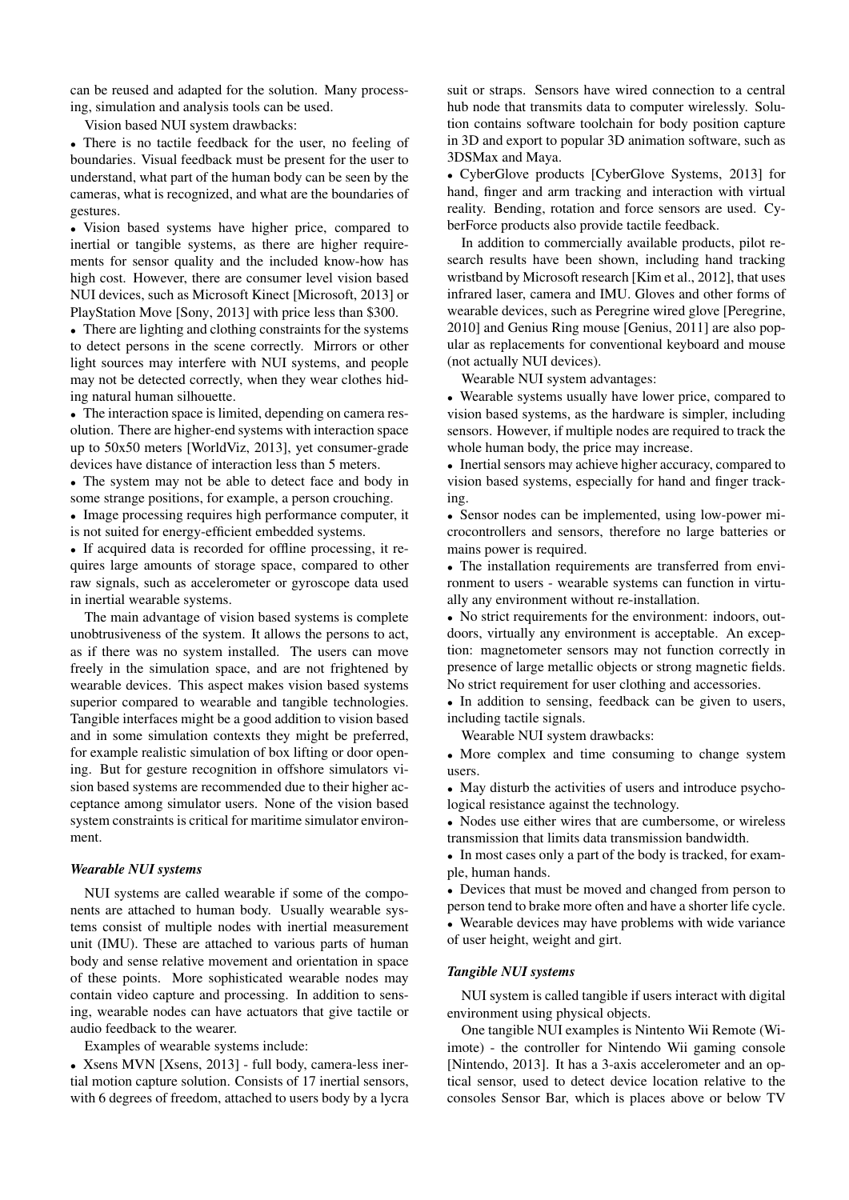can be reused and adapted for the solution. Many processing, simulation and analysis tools can be used.

Vision based NUI system drawbacks:

• There is no tactile feedback for the user, no feeling of boundaries. Visual feedback must be present for the user to understand, what part of the human body can be seen by the cameras, what is recognized, and what are the boundaries of gestures.

• Vision based systems have higher price, compared to inertial or tangible systems, as there are higher requirements for sensor quality and the included know-how has high cost. However, there are consumer level vision based NUI devices, such as Microsoft Kinect [Microsoft, 2013] or PlayStation Move [Sony, 2013] with price less than \$300.

• There are lighting and clothing constraints for the systems to detect persons in the scene correctly. Mirrors or other light sources may interfere with NUI systems, and people may not be detected correctly, when they wear clothes hiding natural human silhouette.

• The interaction space is limited, depending on camera resolution. There are higher-end systems with interaction space up to 50x50 meters [WorldViz, 2013], yet consumer-grade devices have distance of interaction less than 5 meters.

• The system may not be able to detect face and body in some strange positions, for example, a person crouching.

• Image processing requires high performance computer, it is not suited for energy-efficient embedded systems.

• If acquired data is recorded for offline processing, it requires large amounts of storage space, compared to other raw signals, such as accelerometer or gyroscope data used in inertial wearable systems.

The main advantage of vision based systems is complete unobtrusiveness of the system. It allows the persons to act, as if there was no system installed. The users can move freely in the simulation space, and are not frightened by wearable devices. This aspect makes vision based systems superior compared to wearable and tangible technologies. Tangible interfaces might be a good addition to vision based and in some simulation contexts they might be preferred, for example realistic simulation of box lifting or door opening. But for gesture recognition in offshore simulators vision based systems are recommended due to their higher acceptance among simulator users. None of the vision based system constraints is critical for maritime simulator environment.

#### *Wearable NUI systems*

NUI systems are called wearable if some of the components are attached to human body. Usually wearable systems consist of multiple nodes with inertial measurement unit (IMU). These are attached to various parts of human body and sense relative movement and orientation in space of these points. More sophisticated wearable nodes may contain video capture and processing. In addition to sensing, wearable nodes can have actuators that give tactile or audio feedback to the wearer.

Examples of wearable systems include:

• Xsens MVN [Xsens, 2013] - full body, camera-less inertial motion capture solution. Consists of 17 inertial sensors, with 6 degrees of freedom, attached to users body by a lycra suit or straps. Sensors have wired connection to a central hub node that transmits data to computer wirelessly. Solution contains software toolchain for body position capture in 3D and export to popular 3D animation software, such as 3DSMax and Maya.

• CyberGlove products [CyberGlove Systems, 2013] for hand, finger and arm tracking and interaction with virtual reality. Bending, rotation and force sensors are used. CyberForce products also provide tactile feedback.

In addition to commercially available products, pilot research results have been shown, including hand tracking wristband by Microsoft research [Kim et al., 2012], that uses infrared laser, camera and IMU. Gloves and other forms of wearable devices, such as Peregrine wired glove [Peregrine, 2010] and Genius Ring mouse [Genius, 2011] are also popular as replacements for conventional keyboard and mouse (not actually NUI devices).

Wearable NUI system advantages:

• Wearable systems usually have lower price, compared to vision based systems, as the hardware is simpler, including sensors. However, if multiple nodes are required to track the whole human body, the price may increase.

• Inertial sensors may achieve higher accuracy, compared to vision based systems, especially for hand and finger tracking.

• Sensor nodes can be implemented, using low-power microcontrollers and sensors, therefore no large batteries or mains power is required.

• The installation requirements are transferred from environment to users - wearable systems can function in virtually any environment without re-installation.

• No strict requirements for the environment: indoors, outdoors, virtually any environment is acceptable. An exception: magnetometer sensors may not function correctly in presence of large metallic objects or strong magnetic fields. No strict requirement for user clothing and accessories.

• In addition to sensing, feedback can be given to users, including tactile signals.

Wearable NUI system drawbacks:

• More complex and time consuming to change system users.

• May disturb the activities of users and introduce psychological resistance against the technology.

• Nodes use either wires that are cumbersome, or wireless transmission that limits data transmission bandwidth.

• In most cases only a part of the body is tracked, for example, human hands.

• Devices that must be moved and changed from person to person tend to brake more often and have a shorter life cycle. • Wearable devices may have problems with wide variance of user height, weight and girt.

#### *Tangible NUI systems*

NUI system is called tangible if users interact with digital environment using physical objects.

One tangible NUI examples is Nintento Wii Remote (Wiimote) - the controller for Nintendo Wii gaming console [Nintendo, 2013]. It has a 3-axis accelerometer and an optical sensor, used to detect device location relative to the consoles Sensor Bar, which is places above or below TV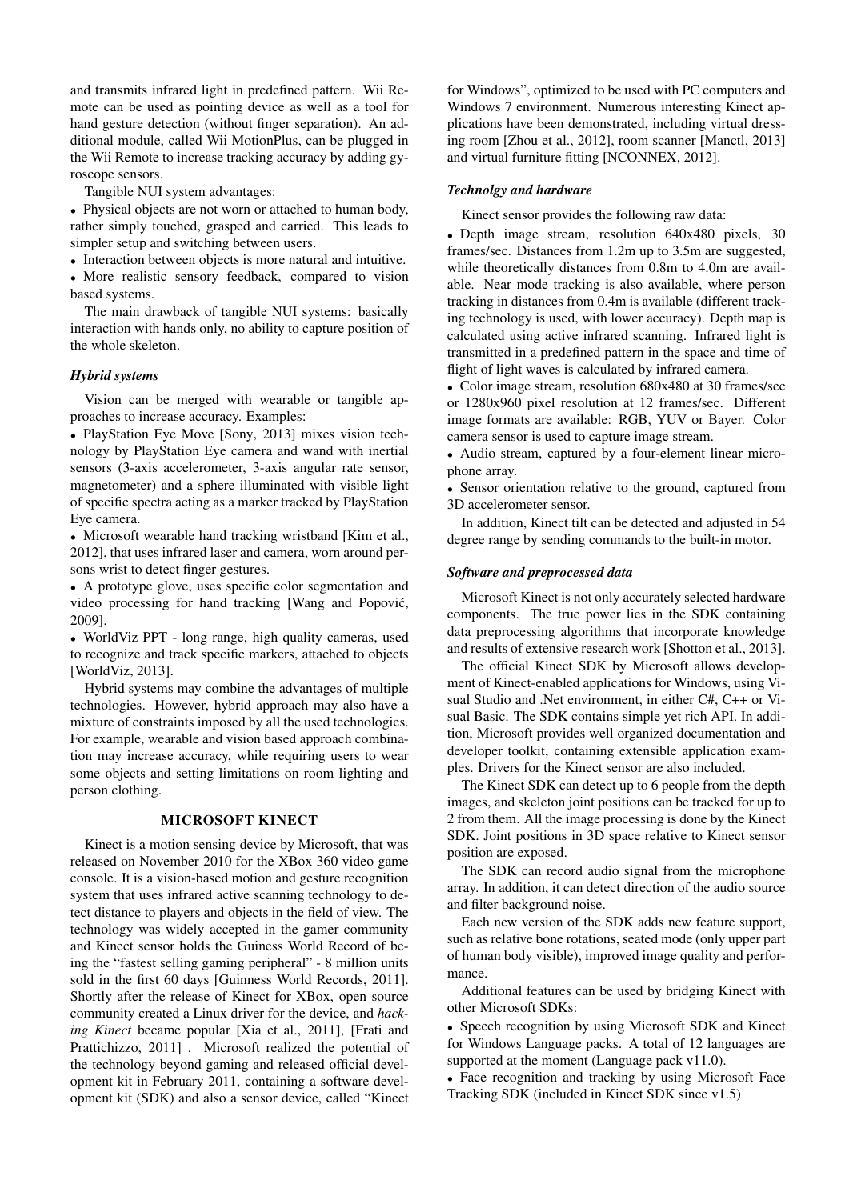and transmits infrared light in predefined pattern. Wii Remote can be used as pointing device as well as a tool for hand gesture detection (without finger separation). An additional module, called Wii MotionPlus, can be plugged in the Wii Remote to increase tracking accuracy by adding gyroscope sensors.

Tangible NUI system advantages:

• Physical objects are not worn or attached to human body, rather simply touched, grasped and carried. This leads to simpler setup and switching between users.

• Interaction between objects is more natural and intuitive.

• More realistic sensory feedback, compared to vision based systems.

The main drawback of tangible NUI systems: basically interaction with hands only, no ability to capture position of the whole skeleton.

## *Hybrid systems*

Vision can be merged with wearable or tangible approaches to increase accuracy. Examples:

• PlayStation Eye Move [Sony, 2013] mixes vision technology by PlayStation Eye camera and wand with inertial sensors (3-axis accelerometer, 3-axis angular rate sensor, magnetometer) and a sphere illuminated with visible light of specific spectra acting as a marker tracked by PlayStation Eye camera.

• Microsoft wearable hand tracking wristband [Kim et al., 2012], that uses infrared laser and camera, worn around persons wrist to detect finger gestures.

• A prototype glove, uses specific color segmentation and video processing for hand tracking [Wang and Popović, 2009].

• WorldViz PPT - long range, high quality cameras, used to recognize and track specific markers, attached to objects [WorldViz, 2013].

Hybrid systems may combine the advantages of multiple technologies. However, hybrid approach may also have a mixture of constraints imposed by all the used technologies. For example, wearable and vision based approach combination may increase accuracy, while requiring users to wear some objects and setting limitations on room lighting and person clothing.

## MICROSOFT KINECT

Kinect is a motion sensing device by Microsoft, that was released on November 2010 for the XBox 360 video game console. It is a vision-based motion and gesture recognition system that uses infrared active scanning technology to detect distance to players and objects in the field of view. The technology was widely accepted in the gamer community and Kinect sensor holds the Guiness World Record of being the "fastest selling gaming peripheral" - 8 million units sold in the first 60 days [Guinness World Records, 2011]. Shortly after the release of Kinect for XBox, open source community created a Linux driver for the device, and *hacking Kinect* became popular [Xia et al., 2011], [Frati and Prattichizzo, 2011] . Microsoft realized the potential of the technology beyond gaming and released official development kit in February 2011, containing a software development kit (SDK) and also a sensor device, called "Kinect for Windows", optimized to be used with PC computers and Windows 7 environment. Numerous interesting Kinect applications have been demonstrated, including virtual dressing room [Zhou et al., 2012], room scanner [Manctl, 2013] and virtual furniture fitting [NCONNEX, 2012].

#### *Technolgy and hardware*

Kinect sensor provides the following raw data:

• Depth image stream, resolution 640x480 pixels, 30 frames/sec. Distances from 1.2m up to 3.5m are suggested, while theoretically distances from 0.8m to 4.0m are available. Near mode tracking is also available, where person tracking in distances from 0.4m is available (different tracking technology is used, with lower accuracy). Depth map is calculated using active infrared scanning. Infrared light is transmitted in a predefined pattern in the space and time of flight of light waves is calculated by infrared camera.

• Color image stream, resolution 680x480 at 30 frames/sec or 1280x960 pixel resolution at 12 frames/sec. Different image formats are available: RGB, YUV or Bayer. Color camera sensor is used to capture image stream.

• Audio stream, captured by a four-element linear microphone array.

• Sensor orientation relative to the ground, captured from 3D accelerometer sensor.

In addition, Kinect tilt can be detected and adjusted in 54 degree range by sending commands to the built-in motor.

#### *Software and preprocessed data*

Microsoft Kinect is not only accurately selected hardware components. The true power lies in the SDK containing data preprocessing algorithms that incorporate knowledge and results of extensive research work [Shotton et al., 2013].

The official Kinect SDK by Microsoft allows development of Kinect-enabled applications for Windows, using Visual Studio and .Net environment, in either C#, C++ or Visual Basic. The SDK contains simple yet rich API. In addition, Microsoft provides well organized documentation and developer toolkit, containing extensible application examples. Drivers for the Kinect sensor are also included.

The Kinect SDK can detect up to 6 people from the depth images, and skeleton joint positions can be tracked for up to 2 from them. All the image processing is done by the Kinect SDK. Joint positions in 3D space relative to Kinect sensor position are exposed.

The SDK can record audio signal from the microphone array. In addition, it can detect direction of the audio source and filter background noise.

Each new version of the SDK adds new feature support, such as relative bone rotations, seated mode (only upper part of human body visible), improved image quality and performance.

Additional features can be used by bridging Kinect with other Microsoft SDKs:

• Speech recognition by using Microsoft SDK and Kinect for Windows Language packs. A total of 12 languages are supported at the moment (Language pack v11.0).

• Face recognition and tracking by using Microsoft Face Tracking SDK (included in Kinect SDK since v1.5)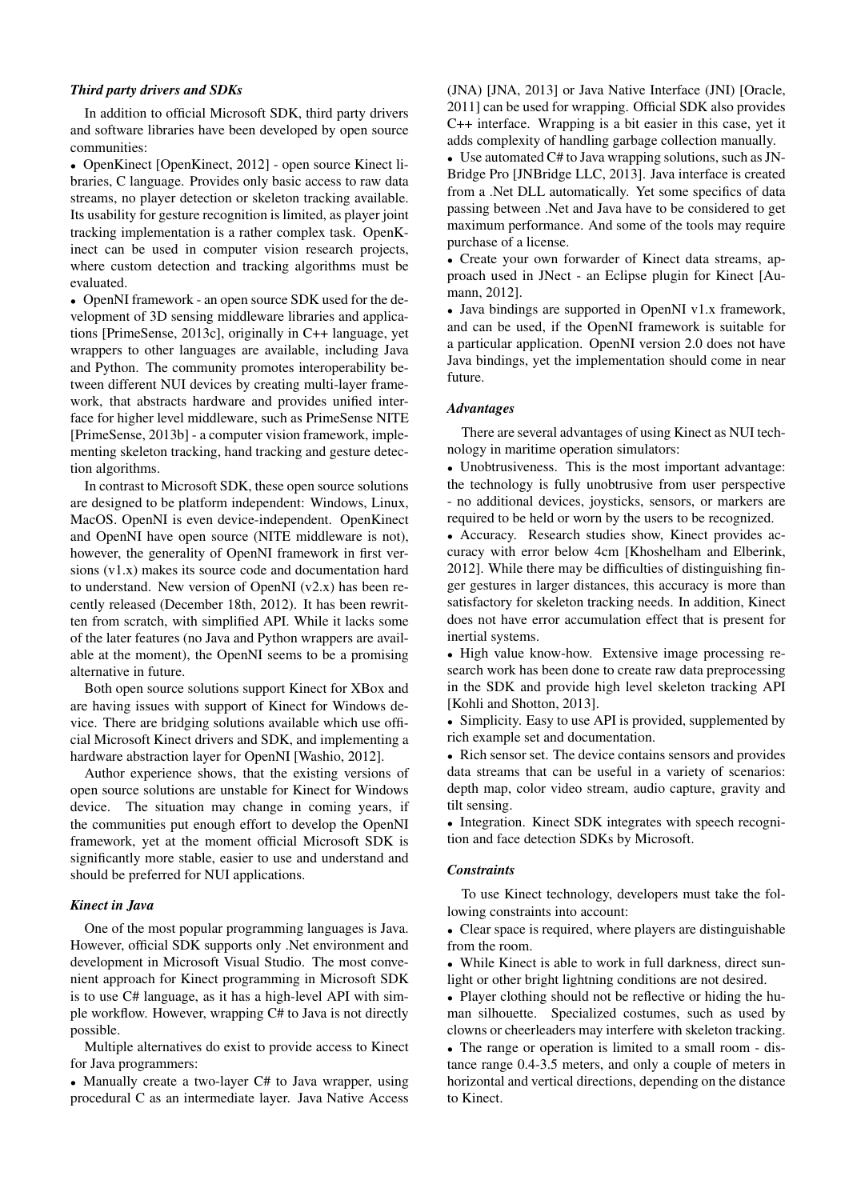## *Third party drivers and SDKs*

In addition to official Microsoft SDK, third party drivers and software libraries have been developed by open source communities:

• OpenKinect [OpenKinect, 2012] - open source Kinect libraries, C language. Provides only basic access to raw data streams, no player detection or skeleton tracking available. Its usability for gesture recognition is limited, as player joint tracking implementation is a rather complex task. OpenKinect can be used in computer vision research projects, where custom detection and tracking algorithms must be evaluated.

• OpenNI framework - an open source SDK used for the development of 3D sensing middleware libraries and applications [PrimeSense, 2013c], originally in C++ language, yet wrappers to other languages are available, including Java and Python. The community promotes interoperability between different NUI devices by creating multi-layer framework, that abstracts hardware and provides unified interface for higher level middleware, such as PrimeSense NITE [PrimeSense, 2013b] - a computer vision framework, implementing skeleton tracking, hand tracking and gesture detection algorithms.

In contrast to Microsoft SDK, these open source solutions are designed to be platform independent: Windows, Linux, MacOS. OpenNI is even device-independent. OpenKinect and OpenNI have open source (NITE middleware is not), however, the generality of OpenNI framework in first versions (v1.x) makes its source code and documentation hard to understand. New version of OpenNI  $(v2.x)$  has been recently released (December 18th, 2012). It has been rewritten from scratch, with simplified API. While it lacks some of the later features (no Java and Python wrappers are available at the moment), the OpenNI seems to be a promising alternative in future.

Both open source solutions support Kinect for XBox and are having issues with support of Kinect for Windows device. There are bridging solutions available which use official Microsoft Kinect drivers and SDK, and implementing a hardware abstraction layer for OpenNI [Washio, 2012].

Author experience shows, that the existing versions of open source solutions are unstable for Kinect for Windows device. The situation may change in coming years, if the communities put enough effort to develop the OpenNI framework, yet at the moment official Microsoft SDK is significantly more stable, easier to use and understand and should be preferred for NUI applications.

## *Kinect in Java*

One of the most popular programming languages is Java. However, official SDK supports only .Net environment and development in Microsoft Visual Studio. The most convenient approach for Kinect programming in Microsoft SDK is to use C# language, as it has a high-level API with simple workflow. However, wrapping C# to Java is not directly possible.

Multiple alternatives do exist to provide access to Kinect for Java programmers:

• Manually create a two-layer C# to Java wrapper, using procedural C as an intermediate layer. Java Native Access (JNA) [JNA, 2013] or Java Native Interface (JNI) [Oracle, 2011] can be used for wrapping. Official SDK also provides C++ interface. Wrapping is a bit easier in this case, yet it adds complexity of handling garbage collection manually.

• Use automated C# to Java wrapping solutions, such as JN-Bridge Pro [JNBridge LLC, 2013]. Java interface is created from a .Net DLL automatically. Yet some specifics of data passing between .Net and Java have to be considered to get maximum performance. And some of the tools may require purchase of a license.

• Create your own forwarder of Kinect data streams, approach used in JNect - an Eclipse plugin for Kinect [Aumann, 2012].

• Java bindings are supported in OpenNI v1.x framework, and can be used, if the OpenNI framework is suitable for a particular application. OpenNI version 2.0 does not have Java bindings, yet the implementation should come in near future.

## *Advantages*

There are several advantages of using Kinect as NUI technology in maritime operation simulators:

• Unobtrusiveness. This is the most important advantage: the technology is fully unobtrusive from user perspective - no additional devices, joysticks, sensors, or markers are required to be held or worn by the users to be recognized.

• Accuracy. Research studies show, Kinect provides accuracy with error below 4cm [Khoshelham and Elberink, 2012]. While there may be difficulties of distinguishing finger gestures in larger distances, this accuracy is more than satisfactory for skeleton tracking needs. In addition, Kinect does not have error accumulation effect that is present for inertial systems.

• High value know-how. Extensive image processing research work has been done to create raw data preprocessing in the SDK and provide high level skeleton tracking API [Kohli and Shotton, 2013].

• Simplicity. Easy to use API is provided, supplemented by rich example set and documentation.

• Rich sensor set. The device contains sensors and provides data streams that can be useful in a variety of scenarios: depth map, color video stream, audio capture, gravity and tilt sensing.

• Integration. Kinect SDK integrates with speech recognition and face detection SDKs by Microsoft.

#### *Constraints*

To use Kinect technology, developers must take the following constraints into account:

• Clear space is required, where players are distinguishable from the room.

• While Kinect is able to work in full darkness, direct sunlight or other bright lightning conditions are not desired.

• Player clothing should not be reflective or hiding the human silhouette. Specialized costumes, such as used by clowns or cheerleaders may interfere with skeleton tracking.

• The range or operation is limited to a small room - distance range 0.4-3.5 meters, and only a couple of meters in horizontal and vertical directions, depending on the distance to Kinect.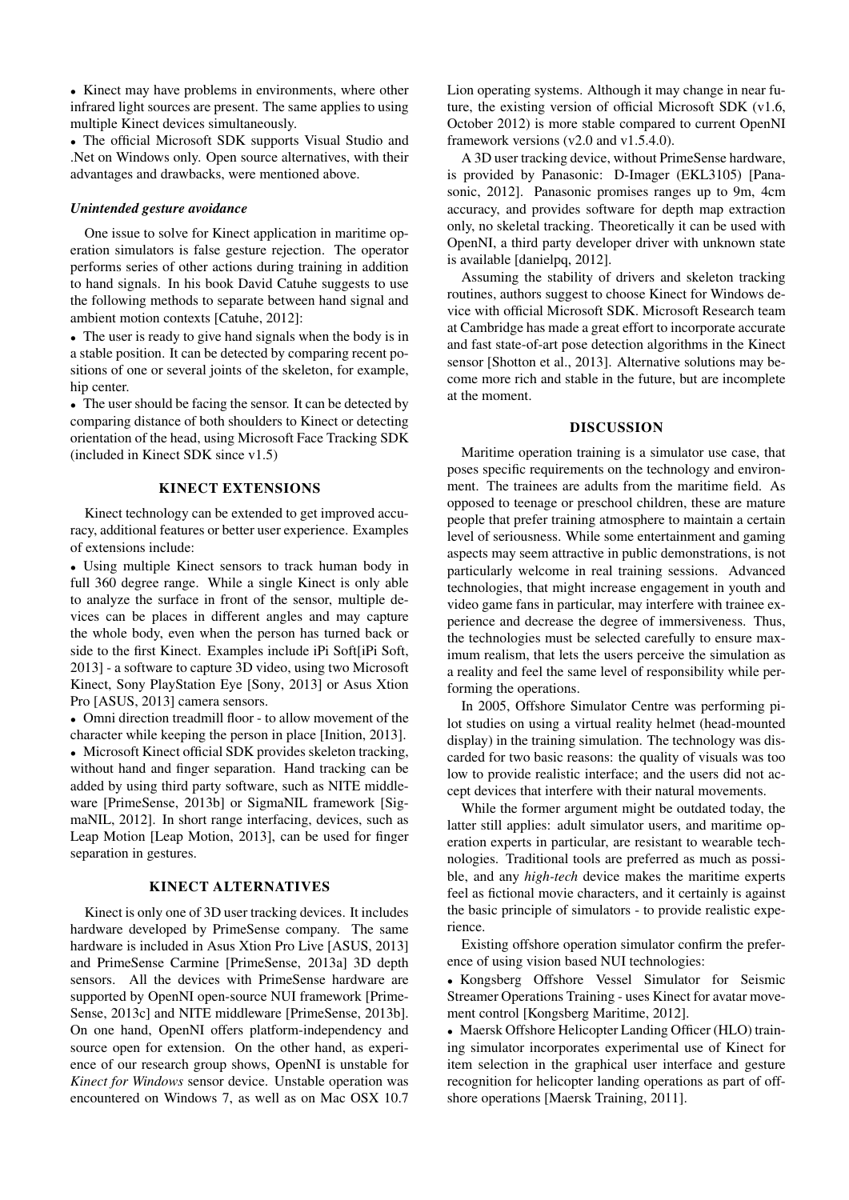• Kinect may have problems in environments, where other infrared light sources are present. The same applies to using multiple Kinect devices simultaneously.

• The official Microsoft SDK supports Visual Studio and .Net on Windows only. Open source alternatives, with their advantages and drawbacks, were mentioned above.

### *Unintended gesture avoidance*

One issue to solve for Kinect application in maritime operation simulators is false gesture rejection. The operator performs series of other actions during training in addition to hand signals. In his book David Catuhe suggests to use the following methods to separate between hand signal and ambient motion contexts [Catuhe, 2012]:

• The user is ready to give hand signals when the body is in a stable position. It can be detected by comparing recent positions of one or several joints of the skeleton, for example, hip center.

• The user should be facing the sensor. It can be detected by comparing distance of both shoulders to Kinect or detecting orientation of the head, using Microsoft Face Tracking SDK (included in Kinect SDK since v1.5)

#### KINECT EXTENSIONS

Kinect technology can be extended to get improved accuracy, additional features or better user experience. Examples of extensions include:

• Using multiple Kinect sensors to track human body in full 360 degree range. While a single Kinect is only able to analyze the surface in front of the sensor, multiple devices can be places in different angles and may capture the whole body, even when the person has turned back or side to the first Kinect. Examples include iPi Soft[iPi Soft, 2013] - a software to capture 3D video, using two Microsoft Kinect, Sony PlayStation Eye [Sony, 2013] or Asus Xtion Pro [ASUS, 2013] camera sensors.

• Omni direction treadmill floor - to allow movement of the character while keeping the person in place [Inition, 2013].

• Microsoft Kinect official SDK provides skeleton tracking, without hand and finger separation. Hand tracking can be added by using third party software, such as NITE middleware [PrimeSense, 2013b] or SigmaNIL framework [SigmaNIL, 2012]. In short range interfacing, devices, such as Leap Motion [Leap Motion, 2013], can be used for finger separation in gestures.

## KINECT ALTERNATIVES

Kinect is only one of 3D user tracking devices. It includes hardware developed by PrimeSense company. The same hardware is included in Asus Xtion Pro Live [ASUS, 2013] and PrimeSense Carmine [PrimeSense, 2013a] 3D depth sensors. All the devices with PrimeSense hardware are supported by OpenNI open-source NUI framework [Prime-Sense, 2013c] and NITE middleware [PrimeSense, 2013b]. On one hand, OpenNI offers platform-independency and source open for extension. On the other hand, as experience of our research group shows, OpenNI is unstable for *Kinect for Windows* sensor device. Unstable operation was encountered on Windows 7, as well as on Mac OSX 10.7 Lion operating systems. Although it may change in near future, the existing version of official Microsoft SDK (v1.6, October 2012) is more stable compared to current OpenNI framework versions (v2.0 and v1.5.4.0).

A 3D user tracking device, without PrimeSense hardware, is provided by Panasonic: D-Imager (EKL3105) [Panasonic, 2012]. Panasonic promises ranges up to 9m, 4cm accuracy, and provides software for depth map extraction only, no skeletal tracking. Theoretically it can be used with OpenNI, a third party developer driver with unknown state is available [danielpq, 2012].

Assuming the stability of drivers and skeleton tracking routines, authors suggest to choose Kinect for Windows device with official Microsoft SDK. Microsoft Research team at Cambridge has made a great effort to incorporate accurate and fast state-of-art pose detection algorithms in the Kinect sensor [Shotton et al., 2013]. Alternative solutions may become more rich and stable in the future, but are incomplete at the moment.

## DISCUSSION

Maritime operation training is a simulator use case, that poses specific requirements on the technology and environment. The trainees are adults from the maritime field. As opposed to teenage or preschool children, these are mature people that prefer training atmosphere to maintain a certain level of seriousness. While some entertainment and gaming aspects may seem attractive in public demonstrations, is not particularly welcome in real training sessions. Advanced technologies, that might increase engagement in youth and video game fans in particular, may interfere with trainee experience and decrease the degree of immersiveness. Thus, the technologies must be selected carefully to ensure maximum realism, that lets the users perceive the simulation as a reality and feel the same level of responsibility while performing the operations.

In 2005, Offshore Simulator Centre was performing pilot studies on using a virtual reality helmet (head-mounted display) in the training simulation. The technology was discarded for two basic reasons: the quality of visuals was too low to provide realistic interface; and the users did not accept devices that interfere with their natural movements.

While the former argument might be outdated today, the latter still applies: adult simulator users, and maritime operation experts in particular, are resistant to wearable technologies. Traditional tools are preferred as much as possible, and any *high-tech* device makes the maritime experts feel as fictional movie characters, and it certainly is against the basic principle of simulators - to provide realistic experience.

Existing offshore operation simulator confirm the preference of using vision based NUI technologies:

• Kongsberg Offshore Vessel Simulator for Seismic Streamer Operations Training - uses Kinect for avatar movement control [Kongsberg Maritime, 2012].

• Maersk Offshore Helicopter Landing Officer (HLO) training simulator incorporates experimental use of Kinect for item selection in the graphical user interface and gesture recognition for helicopter landing operations as part of offshore operations [Maersk Training, 2011].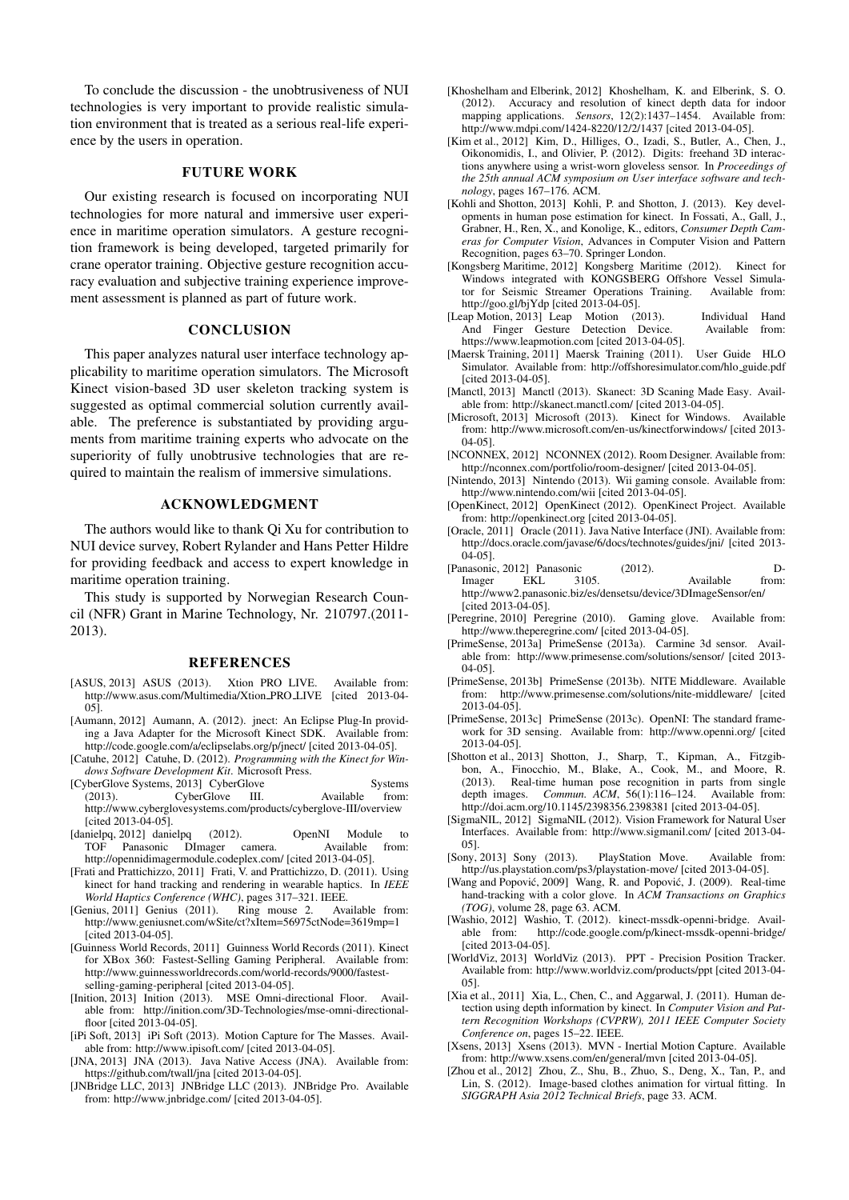To conclude the discussion - the unobtrusiveness of NUI technologies is very important to provide realistic simulation environment that is treated as a serious real-life experience by the users in operation.

## FUTURE WORK

Our existing research is focused on incorporating NUI technologies for more natural and immersive user experience in maritime operation simulators. A gesture recognition framework is being developed, targeted primarily for crane operator training. Objective gesture recognition accuracy evaluation and subjective training experience improvement assessment is planned as part of future work.

## **CONCLUSION**

This paper analyzes natural user interface technology applicability to maritime operation simulators. The Microsoft Kinect vision-based 3D user skeleton tracking system is suggested as optimal commercial solution currently available. The preference is substantiated by providing arguments from maritime training experts who advocate on the superiority of fully unobtrusive technologies that are required to maintain the realism of immersive simulations.

## ACKNOWLEDGMENT

The authors would like to thank Qi Xu for contribution to NUI device survey, Robert Rylander and Hans Petter Hildre for providing feedback and access to expert knowledge in maritime operation training.

This study is supported by Norwegian Research Council (NFR) Grant in Marine Technology, Nr. 210797.(2011- 2013).

#### REFERENCES

- [ASUS, 2013] ASUS (2013). Xtion PRO LIVE. Available from: http://www.asus.com/Multimedia/Xtion\_PRO\_LIVE [cited 2013-04-05].
- [Aumann, 2012] Aumann, A. (2012). jnect: An Eclipse Plug-In providing a Java Adapter for the Microsoft Kinect SDK. Available from: http://code.google.com/a/eclipselabs.org/p/jnect/ [cited 2013-04-05].
- [Catuhe, 2012] Catuhe, D. (2012). *Programming with the Kinect for Windows Software Development Kit*. Microsoft Press.
- [CyberGlove Systems, 2013] CyberGlove Systems (2013). CyberGlove III. Available from: http://www.cyberglovesystems.com/products/cyberglove-III/overview [cited 2013-04-05].
- [danielpq, 2012] danielpq (2012). OpenNI Module to TOF Panasonic DImager http://opennidimagermodule.codeplex.com/ [cited 2013-04-05].
- [Frati and Prattichizzo, 2011] Frati, V. and Prattichizzo, D. (2011). Using kinect for hand tracking and rendering in wearable haptics. In *IEEE World Haptics Conference (WHC)*, pages 317–321. IEEE.
- [Genius, 2011] Genius (2011). Ring mouse 2. Available from: http://www.geniusnet.com/wSite/ct?xItem=56975ctNode=3619mp=1 [cited 2013-04-05].
- [Guinness World Records, 2011] Guinness World Records (2011). Kinect for XBox 360: Fastest-Selling Gaming Peripheral. Available from: http://www.guinnessworldrecords.com/world-records/9000/fastestselling-gaming-peripheral [cited 2013-04-05].
- [Inition, 2013] Inition (2013). MSE Omni-directional Floor. Available from: http://inition.com/3D-Technologies/mse-omni-directionalfloor [cited 2013-04-05].
- [iPi Soft, 2013] iPi Soft (2013). Motion Capture for The Masses. Available from: http://www.ipisoft.com/ [cited 2013-04-05].
- [JNA, 2013] JNA (2013). Java Native Access (JNA). Available from: https://github.com/twall/jna [cited 2013-04-05].
- [JNBridge LLC, 2013] JNBridge LLC (2013). JNBridge Pro. Available from: http://www.jnbridge.com/ [cited 2013-04-05].
- [Khoshelham and Elberink, 2012] Khoshelham, K. and Elberink, S. O. (2012). Accuracy and resolution of kinect depth data for indoor mapping applications. *Sensors*, 12(2):1437–1454. Available from: http://www.mdpi.com/1424-8220/12/2/1437 [cited 2013-04-05].
- [Kim et al., 2012] Kim, D., Hilliges, O., Izadi, S., Butler, A., Chen, J., Oikonomidis, I., and Olivier, P. (2012). Digits: freehand 3D interactions anywhere using a wrist-worn gloveless sensor. In *Proceedings of the 25th annual ACM symposium on User interface software and technology*, pages 167–176. ACM.
- [Kohli and Shotton, 2013] Kohli, P. and Shotton, J. (2013). Key developments in human pose estimation for kinect. In Fossati, A., Gall, J., Grabner, H., Ren, X., and Konolige, K., editors, *Consumer Depth Cameras for Computer Vision*, Advances in Computer Vision and Pattern Recognition, pages 63–70. Springer London.
- [Kongsberg Maritime, 2012] Kongsberg Maritime (2012). Kinect for Windows integrated with KONGSBERG Offshore Vessel Simula-<br>tor for Seismic Streamer Operations Training. Available from: tor for Seismic Streamer Operations Training. http://goo.gl/bjYdp [cited 2013-04-05].
- [Leap Motion, 2013] Leap Motion (2013). Individual Hand And Finger Gesture Detection Device. Available from: https://www.leapmotion.com [cited 2013-04-05].
- [Maersk Training, 2011] Maersk Training (2011). User Guide HLO Simulator. Available from: http://offshoresimulator.com/hlo guide.pdf [cited 2013-04-05].
- [Manctl, 2013] Manctl (2013). Skanect: 3D Scaning Made Easy. Available from: http://skanect.manctl.com/ [cited 2013-04-05].
- [Microsoft, 2013] Microsoft (2013). Kinect for Windows. Available from: http://www.microsoft.com/en-us/kinectforwindows/ [cited 2013- 04-05].
- [NCONNEX, 2012] NCONNEX (2012). Room Designer. Available from: http://nconnex.com/portfolio/room-designer/ [cited 2013-04-05].
- [Nintendo, 2013] Nintendo (2013). Wii gaming console. Available from: http://www.nintendo.com/wii [cited 2013-04-05].
- [OpenKinect, 2012] OpenKinect (2012). OpenKinect Project. Available from: http://openkinect.org [cited 2013-04-05].
- [Oracle, 2011] Oracle (2011). Java Native Interface (JNI). Available from: http://docs.oracle.com/javase/6/docs/technotes/guides/jni/ [cited 2013- 04-05].
- [Panasonic, 2012] Panasonic (2012). D-<br>Imager EKL 3105. Available from: Available http://www2.panasonic.biz/es/densetsu/device/3DImageSensor/en/ [cited 2013-04-05].
- [Peregrine, 2010] Peregrine (2010). Gaming glove. Available from: http://www.theperegrine.com/ [cited 2013-04-05].
- [PrimeSense, 2013a] PrimeSense (2013a). Carmine 3d sensor. Available from: http://www.primesense.com/solutions/sensor/ [cited 2013- 04-05].
- [PrimeSense, 2013b] PrimeSense (2013b). NITE Middleware. Available from: http://www.primesense.com/solutions/nite-middleware/ [cited 2013-04-05].
- [PrimeSense, 2013c] PrimeSense (2013c). OpenNI: The standard framework for 3D sensing. Available from: http://www.openni.org/ [cited 2013-04-05].
- [Shotton et al., 2013] Shotton, J., Sharp, T., Kipman, A., Fitzgibbon, A., Finocchio, M., Blake, A., Cook, M., and Moore, R. (2013). Real-time human pose recognition in parts from single depth images. *Commun. ACM*, 56(1):116–124. Available from: http://doi.acm.org/10.1145/2398356.2398381 [cited 2013-04-05].
- [SigmaNIL, 2012] SigmaNIL (2012). Vision Framework for Natural User Interfaces. Available from: http://www.sigmanil.com/ [cited 2013-04- 05].
- [Sony, 2013] Sony (2013). PlayStation Move. Available from: http://us.playstation.com/ps3/playstation-move/ [cited 2013-04-05].
- [Wang and Popović, 2009] Wang, R. and Popović, J. (2009). Real-time hand-tracking with a color glove. In *ACM Transactions on Graphics (TOG)*, volume 28, page 63. ACM.
- [Washio, 2012] Washio, T. (2012). kinect-mssdk-openni-bridge. Availhttp://code.google.com/p/kinect-mssdk-openni-bridge/ [cited 2013-04-05].
- [WorldViz, 2013] WorldViz (2013). PPT Precision Position Tracker. Available from: http://www.worldviz.com/products/ppt [cited 2013-04- 05].
- [Xia et al., 2011] Xia, L., Chen, C., and Aggarwal, J. (2011). Human detection using depth information by kinect. In *Computer Vision and Pattern Recognition Workshops (CVPRW), 2011 IEEE Computer Society Conference on*, pages 15–22. IEEE.
- [Xsens, 2013] Xsens (2013). MVN Inertial Motion Capture. Available from: http://www.xsens.com/en/general/mvn [cited 2013-04-05].
- [Zhou et al., 2012] Zhou, Z., Shu, B., Zhuo, S., Deng, X., Tan, P., and Lin, S. (2012). Image-based clothes animation for virtual fitting. In *SIGGRAPH Asia 2012 Technical Briefs*, page 33. ACM.